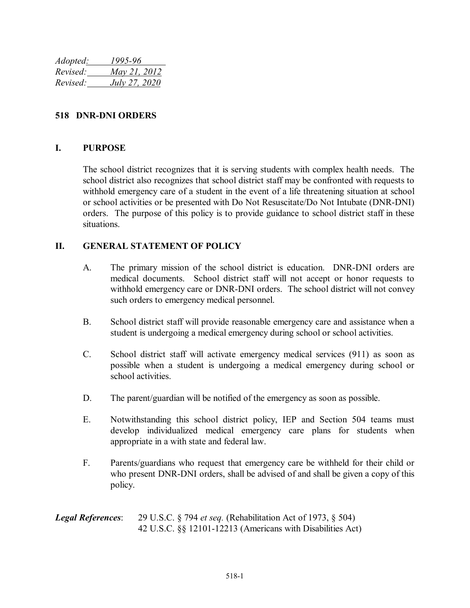| Adopted: | 1995-96              |
|----------|----------------------|
| Revised: | May 21, 2012         |
| Revised: | <u>July 27, 2020</u> |

## **518 DNR-DNI ORDERS**

## **I. PURPOSE**

The school district recognizes that it is serving students with complex health needs. The school district also recognizes that school district staff may be confronted with requests to withhold emergency care of a student in the event of a life threatening situation at school or school activities or be presented with Do Not Resuscitate/Do Not Intubate (DNR-DNI) orders. The purpose of this policy is to provide guidance to school district staff in these situations.

## **II. GENERAL STATEMENT OF POLICY**

- A. The primary mission of the school district is education. DNR-DNI orders are medical documents. School district staff will not accept or honor requests to withhold emergency care or DNR-DNI orders. The school district will not convey such orders to emergency medical personnel.
- B. School district staff will provide reasonable emergency care and assistance when a student is undergoing a medical emergency during school or school activities.
- C. School district staff will activate emergency medical services (911) as soon as possible when a student is undergoing a medical emergency during school or school activities.
- D. The parent/guardian will be notified of the emergency as soon as possible.
- E. Notwithstanding this school district policy, IEP and Section 504 teams must develop individualized medical emergency care plans for students when appropriate in a with state and federal law.
- F. Parents/guardians who request that emergency care be withheld for their child or who present DNR-DNI orders, shall be advised of and shall be given a copy of this policy.

*Legal References*: 29 U.S.C. § 794 *et seq.* (Rehabilitation Act of 1973, § 504) 42 U.S.C. §§ 12101-12213 (Americans with Disabilities Act)